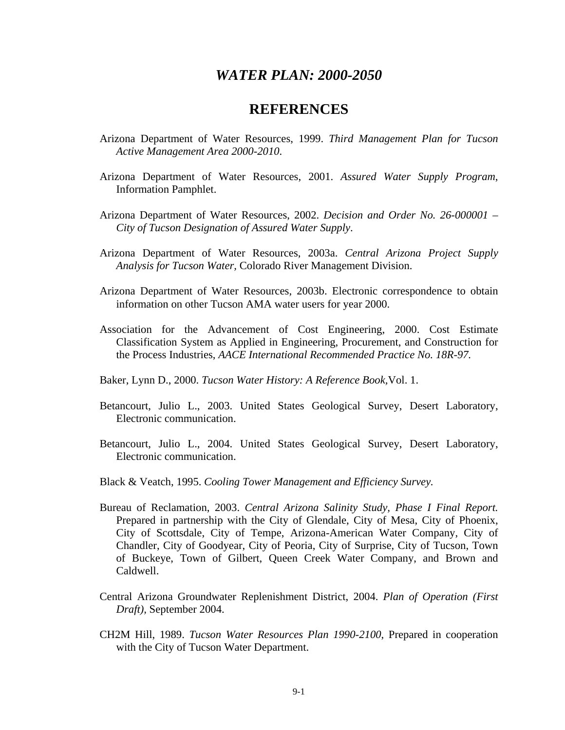## *WATER PLAN: 2000-2050*

## **REFERENCES**

- Arizona Department of Water Resources, 1999. *Third Management Plan for Tucson Active Management Area 2000-2010*.
- Arizona Department of Water Resources, 2001. *Assured Water Supply Program*, Information Pamphlet.
- Arizona Department of Water Resources, 2002. *Decision and Order No. 26-000001 City of Tucson Designation of Assured Water Supply*.
- Arizona Department of Water Resources, 2003a. *Central Arizona Project Supply Analysis for Tucson Water,* Colorado River Management Division.
- Arizona Department of Water Resources, 2003b. Electronic correspondence to obtain information on other Tucson AMA water users for year 2000.
- Association for the Advancement of Cost Engineering, 2000. Cost Estimate Classification System as Applied in Engineering, Procurement, and Construction for the Process Industries, *AACE International Recommended Practice No. 18R-97.*
- Baker, Lynn D., 2000. *Tucson Water History: A Reference Book,*Vol. 1.
- Betancourt, Julio L., 2003. United States Geological Survey, Desert Laboratory, Electronic communication.
- Betancourt, Julio L., 2004. United States Geological Survey, Desert Laboratory, Electronic communication.
- Black & Veatch, 1995. *Cooling Tower Management and Efficiency Survey.*
- Bureau of Reclamation, 2003. *Central Arizona Salinity Study, Phase I Final Report.*  Prepared in partnership with the City of Glendale, City of Mesa, City of Phoenix, City of Scottsdale, City of Tempe, Arizona-American Water Company, City of Chandler, City of Goodyear, City of Peoria, City of Surprise, City of Tucson, Town of Buckeye, Town of Gilbert, Queen Creek Water Company, and Brown and Caldwell.
- Central Arizona Groundwater Replenishment District, 2004. *Plan of Operation (First Draft),* September 2004.
- CH2M Hill, 1989. *Tucson Water Resources Plan 1990-2100*, Prepared in cooperation with the City of Tucson Water Department.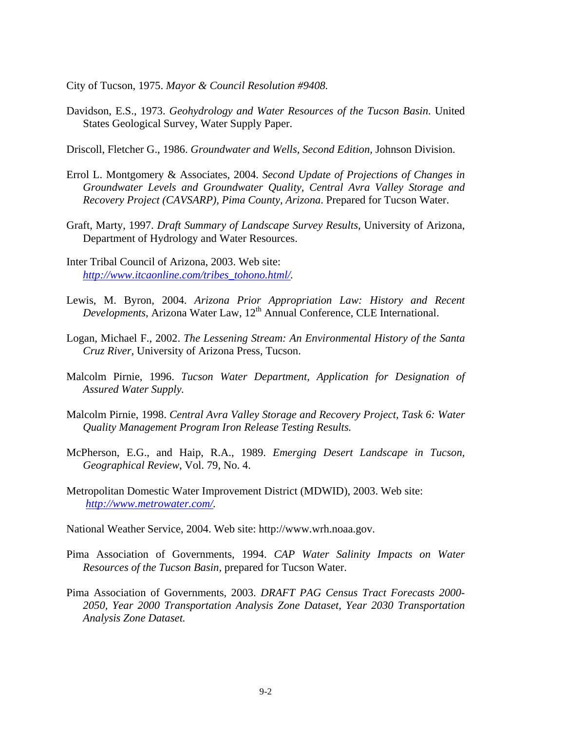City of Tucson, 1975. *Mayor & Council Resolution #9408.* 

Davidson, E.S., 1973. *Geohydrology and Water Resources of the Tucson Basin*. United States Geological Survey, Water Supply Paper.

Driscoll, Fletcher G., 1986. *Groundwater and Wells, Second Edition,* Johnson Division.

- Errol L. Montgomery & Associates, 2004. *Second Update of Projections of Changes in Groundwater Levels and Groundwater Quality, Central Avra Valley Storage and Recovery Project (CAVSARP), Pima County, Arizona*. Prepared for Tucson Water.
- Graft, Marty, 1997. *Draft Summary of Landscape Survey Results*, University of Arizona, Department of Hydrology and Water Resources.
- Inter Tribal Council of Arizona, 2003. Web site: *http://www.itcaonline.com/tribes\_tohono.html/.*
- Lewis, M. Byron, 2004. *Arizona Prior Appropriation Law: History and Recent Developments*, Arizona Water Law, 12<sup>th</sup> Annual Conference, CLE International.
- Logan, Michael F., 2002. *The Lessening Stream: An Environmental History of the Santa Cruz River,* University of Arizona Press, Tucson.
- Malcolm Pirnie, 1996. *Tucson Water Department, Application for Designation of Assured Water Supply.*
- Malcolm Pirnie, 1998. *Central Avra Valley Storage and Recovery Project, Task 6: Water Quality Management Program Iron Release Testing Results.*
- McPherson, E.G., and Haip, R.A., 1989. *Emerging Desert Landscape in Tucson, Geographical Review*, Vol. 79, No. 4.
- Metropolitan Domestic Water Improvement District (MDWID), 2003. Web site: *http://www.metrowater.com/.*

National Weather Service, 2004. Web site: http://www.wrh.noaa.gov.

- Pima Association of Governments, 1994. *CAP Water Salinity Impacts on Water Resources of the Tucson Basin,* prepared for Tucson Water.
- Pima Association of Governments, 2003. *DRAFT PAG Census Tract Forecasts 2000- 2050, Year 2000 Transportation Analysis Zone Dataset, Year 2030 Transportation Analysis Zone Dataset.*